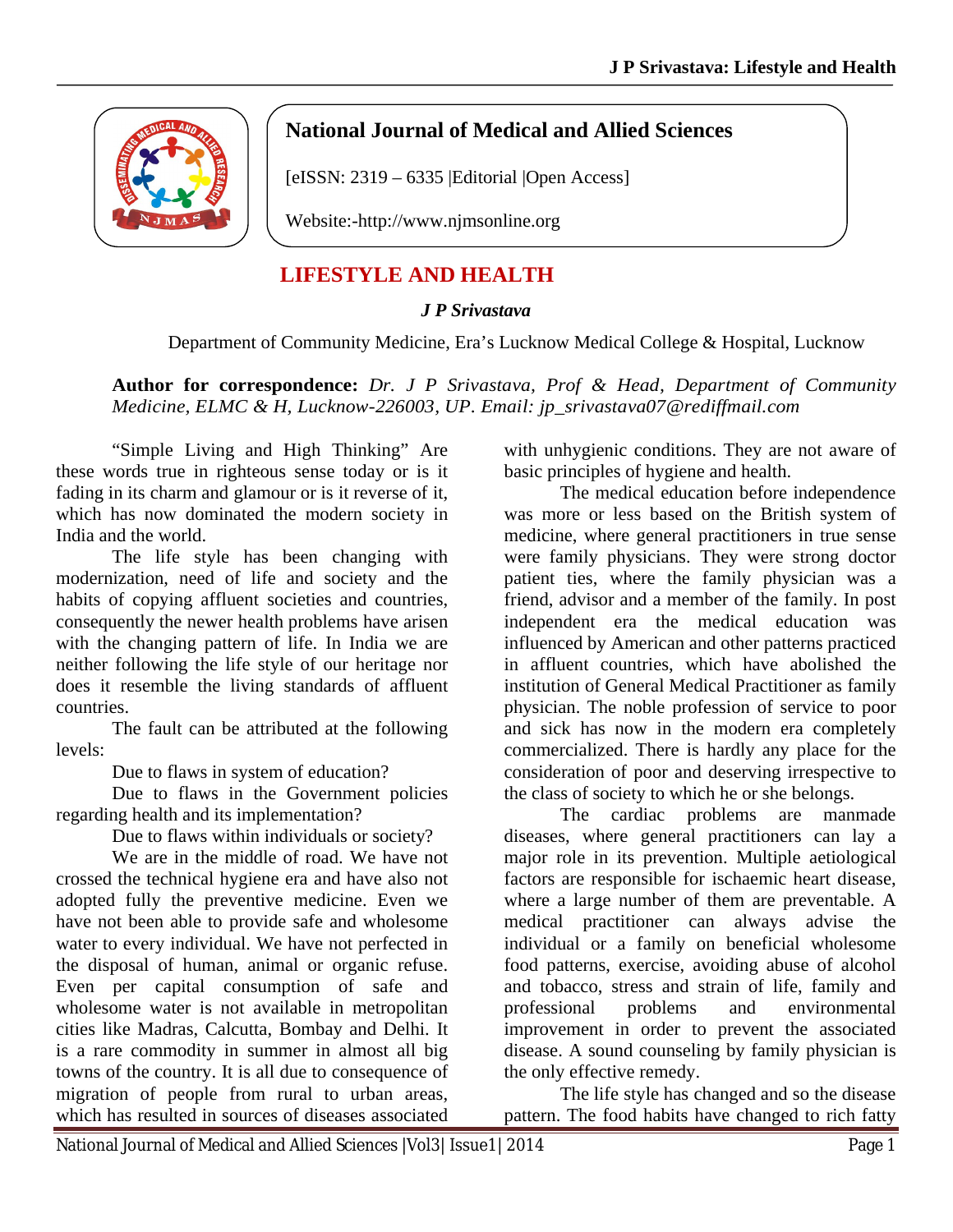

## **National Journal of Medical and Allied Sciences**

[eISSN: 2319 – 6335 |Editorial |Open Access]

Website:-http://www.njmsonline.org

## **LIFESTYLE AND HEALTH**

## *J P Srivastava*

## Department of Community Medicine, Era's Lucknow Medical College & Hospital, Lucknow

**Author for correspondence:** *Dr. J P Srivastava, Prof & Head, Department of Community Medicine, ELMC & H, Lucknow-226003, UP. Email: jp\_srivastava07@rediffmail.com*

"Simple Living and High Thinking" Are these words true in righteous sense today or is it fading in its charm and glamour or is it reverse of it, which has now dominated the modern society in India and the world.

The life style has been changing with modernization, need of life and society and the habits of copying affluent societies and countries, consequently the newer health problems have arisen with the changing pattern of life. In India we are neither following the life style of our heritage nor does it resemble the living standards of affluent countries.

The fault can be attributed at the following levels:

Due to flaws in system of education?

Due to flaws in the Government policies regarding health and its implementation?

Due to flaws within individuals or society?

We are in the middle of road. We have not crossed the technical hygiene era and have also not adopted fully the preventive medicine. Even we have not been able to provide safe and wholesome water to every individual. We have not perfected in the disposal of human, animal or organic refuse. Even per capital consumption of safe and wholesome water is not available in metropolitan cities like Madras, Calcutta, Bombay and Delhi. It is a rare commodity in summer in almost all big towns of the country. It is all due to consequence of migration of people from rural to urban areas, which has resulted in sources of diseases associated

with unhygienic conditions. They are not aware of basic principles of hygiene and health.

The medical education before independence was more or less based on the British system of medicine, where general practitioners in true sense were family physicians. They were strong doctor patient ties, where the family physician was a friend, advisor and a member of the family. In post independent era the medical education was influenced by American and other patterns practiced in affluent countries, which have abolished the institution of General Medical Practitioner as family physician. The noble profession of service to poor and sick has now in the modern era completely commercialized. There is hardly any place for the consideration of poor and deserving irrespective to the class of society to which he or she belongs.

The cardiac problems are manmade diseases, where general practitioners can lay a major role in its prevention. Multiple aetiological factors are responsible for ischaemic heart disease, where a large number of them are preventable. A medical practitioner can always advise the individual or a family on beneficial wholesome food patterns, exercise, avoiding abuse of alcohol and tobacco, stress and strain of life, family and professional problems and environmental improvement in order to prevent the associated disease. A sound counseling by family physician is the only effective remedy.

The life style has changed and so the disease pattern. The food habits have changed to rich fatty